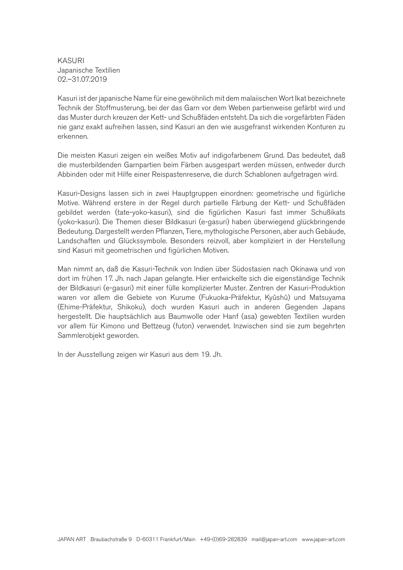KASURI Japanische Textilien 02.–31.07.2019

Kasuri ist der japanische Name für eine gewöhnlich mit dem malaiischen Wort Ikat bezeichnete Technik der Stoffmusterung, bei der das Garn vor dem Weben partienweise gefärbt wird und das Muster durch kreuzen der Kett- und Schußfäden entsteht. Da sich die vorgefärbten Fäden nie ganz exakt aufreihen lassen, sind Kasuri an den wie ausgefranst wirkenden Konturen zu erkennen.

Die meisten Kasuri zeigen ein weißes Motiv auf indigofarbenem Grund. Das bedeutet, daß die musterbildenden Garnpartien beim Färben ausgespart werden müssen, entweder durch Abbinden oder mit Hilfe einer Reispastenreserve, die durch Schablonen aufgetragen wird.

Kasuri-Designs lassen sich in zwei Hauptgruppen einordnen: geometrische und figürliche Motive. Während erstere in der Regel durch partielle Färbung der Kett- und Schußfäden gebildet werden (tate-yoko-kasuri), sind die figürlichen Kasuri fast immer Schußikats (yoko-kasuri). Die Themen dieser Bildkasuri (e-gasuri) haben überwiegend glückbringende Bedeutung. Dargestellt werden Pflanzen, Tiere, mythologische Personen, aber auch Gebäude, Landschaften und Glückssymbole. Besonders reizvoll, aber kompliziert in der Herstellung sind Kasuri mit geometrischen und figürlichen Motiven.

Man nimmt an, daß die Kasuri-Technik von Indien über Südostasien nach Okinawa und von dort im frühen 17. Jh. nach Japan gelangte. Hier entwickelte sich die eigenständige Technik der Bildkasuri (e-gasuri) mit einer fülle komplizierter Muster. Zentren der Kasuri-Produktion waren vor allem die Gebiete von Kurume (Fukuoka-Präfektur, Kyûshû) und Matsuyama (Ehime-Präfektur, Shikoku), doch wurden Kasuri auch in anderen Gegenden Japans hergestellt. Die hauptsächlich aus Baumwolle oder Hanf (asa) gewebten Textilien wurden vor allem für Kimono und Bettzeug (futon) verwendet. Inzwischen sind sie zum begehrten Sammlerobjekt geworden.

In der Ausstellung zeigen wir Kasuri aus dem 19. Jh.